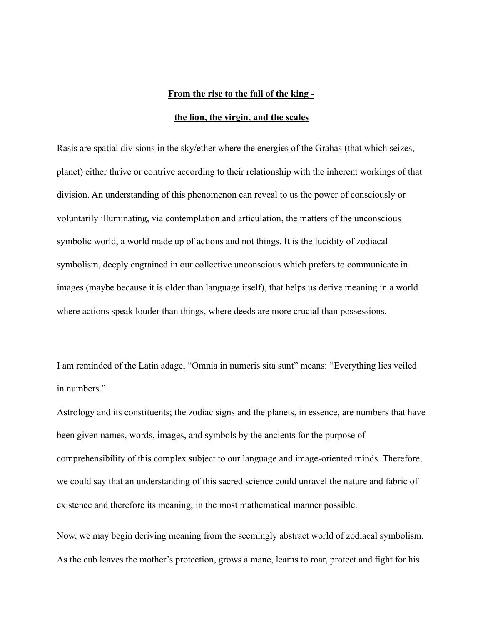## **From the rise to the fall of the king -**

## **the lion, the virgin, and the scales**

Rasis are spatial divisions in the sky/ether where the energies of the Grahas (that which seizes, planet) either thrive or contrive according to their relationship with the inherent workings of that division. An understanding of this phenomenon can reveal to us the power of consciously or voluntarily illuminating, via contemplation and articulation, the matters of the unconscious symbolic world, a world made up of actions and not things. It is the lucidity of zodiacal symbolism, deeply engrained in our collective unconscious which prefers to communicate in images (maybe because it is older than language itself), that helps us derive meaning in a world where actions speak louder than things, where deeds are more crucial than possessions.

I am reminded of the Latin adage, "Omnia in numeris sita sunt" means: "Everything lies veiled in numbers."

Astrology and its constituents; the zodiac signs and the planets, in essence, are numbers that have been given names, words, images, and symbols by the ancients for the purpose of comprehensibility of this complex subject to our language and image-oriented minds. Therefore, we could say that an understanding of this sacred science could unravel the nature and fabric of existence and therefore its meaning, in the most mathematical manner possible.

Now, we may begin deriving meaning from the seemingly abstract world of zodiacal symbolism. As the cub leaves the mother's protection, grows a mane, learns to roar, protect and fight for his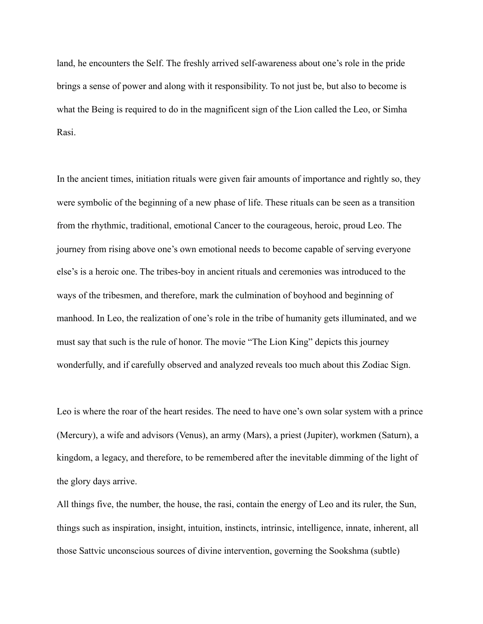land, he encounters the Self. The freshly arrived self-awareness about one's role in the pride brings a sense of power and along with it responsibility. To not just be, but also to become is what the Being is required to do in the magnificent sign of the Lion called the Leo, or Simha Rasi.

In the ancient times, initiation rituals were given fair amounts of importance and rightly so, they were symbolic of the beginning of a new phase of life. These rituals can be seen as a transition from the rhythmic, traditional, emotional Cancer to the courageous, heroic, proud Leo. The journey from rising above one's own emotional needs to become capable of serving everyone else's is a heroic one. The tribes-boy in ancient rituals and ceremonies was introduced to the ways of the tribesmen, and therefore, mark the culmination of boyhood and beginning of manhood. In Leo, the realization of one's role in the tribe of humanity gets illuminated, and we must say that such is the rule of honor. The movie "The Lion King" depicts this journey wonderfully, and if carefully observed and analyzed reveals too much about this Zodiac Sign.

Leo is where the roar of the heart resides. The need to have one's own solar system with a prince (Mercury), a wife and advisors (Venus), an army (Mars), a priest (Jupiter), workmen (Saturn), a kingdom, a legacy, and therefore, to be remembered after the inevitable dimming of the light of the glory days arrive.

All things five, the number, the house, the rasi, contain the energy of Leo and its ruler, the Sun, things such as inspiration, insight, intuition, instincts, intrinsic, intelligence, innate, inherent, all those Sattvic unconscious sources of divine intervention, governing the Sookshma (subtle)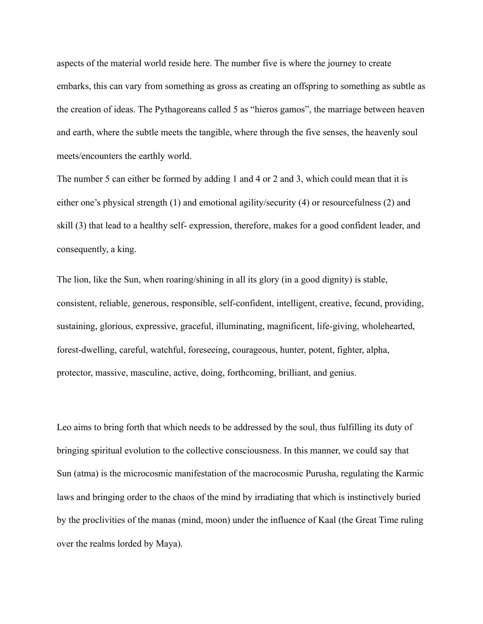aspects of the material world reside here. The number five is where the journey to create embarks, this can vary from something as gross as creating an offspring to something as subtle as the creation of ideas. The Pythagoreans called 5 as "hieros gamos", the marriage between heaven and earth, where the subtle meets the tangible, where through the five senses, the heavenly soul meets/encounters the earthly world.

The number 5 can either be formed by adding 1 and 4 or 2 and 3, which could mean that it is either one's physical strength (1) and emotional agility/security (4) or resourcefulness (2) and skill (3) that lead to a healthy self- expression, therefore, makes for a good confident leader, and consequently, a king.

The lion, like the Sun, when roaring/shining in all its glory (in a good dignity) is stable, consistent, reliable, generous, responsible, self-confident, intelligent, creative, fecund, providing, sustaining, glorious, expressive, graceful, illuminating, magnificent, life-giving, wholehearted, forest-dwelling, careful, watchful, foreseeing, courageous, hunter, potent, fighter, alpha, protector, massive, masculine, active, doing, forthcoming, brilliant, and genius.

Leo aims to bring forth that which needs to be addressed by the soul, thus fulfilling its duty of bringing spiritual evolution to the collective consciousness. In this manner, we could say that Sun (atma) is the microcosmic manifestation of the macrocosmic Purusha, regulating the Karmic laws and bringing order to the chaos of the mind by irradiating that which is instinctively buried by the proclivities of the manas (mind, moon) under the influence of Kaal (the Great Time ruling over the realms lorded by Maya).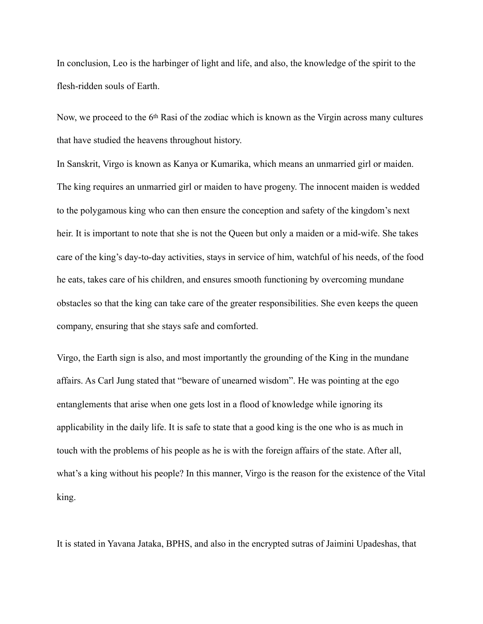In conclusion, Leo is the harbinger of light and life, and also, the knowledge of the spirit to the flesh-ridden souls of Earth.

Now, we proceed to the 6th Rasi of the zodiac which is known as the Virgin across many cultures that have studied the heavens throughout history.

In Sanskrit, Virgo is known as Kanya or Kumarika, which means an unmarried girl or maiden. The king requires an unmarried girl or maiden to have progeny. The innocent maiden is wedded to the polygamous king who can then ensure the conception and safety of the kingdom's next heir. It is important to note that she is not the Queen but only a maiden or a mid-wife. She takes care of the king's day-to-day activities, stays in service of him, watchful of his needs, of the food he eats, takes care of his children, and ensures smooth functioning by overcoming mundane obstacles so that the king can take care of the greater responsibilities. She even keeps the queen company, ensuring that she stays safe and comforted.

Virgo, the Earth sign is also, and most importantly the grounding of the King in the mundane affairs. As Carl Jung stated that "beware of unearned wisdom". He was pointing at the ego entanglements that arise when one gets lost in a flood of knowledge while ignoring its applicability in the daily life. It is safe to state that a good king is the one who is as much in touch with the problems of his people as he is with the foreign affairs of the state. After all, what's a king without his people? In this manner, Virgo is the reason for the existence of the Vital king.

It is stated in Yavana Jataka, BPHS, and also in the encrypted sutras of Jaimini Upadeshas, that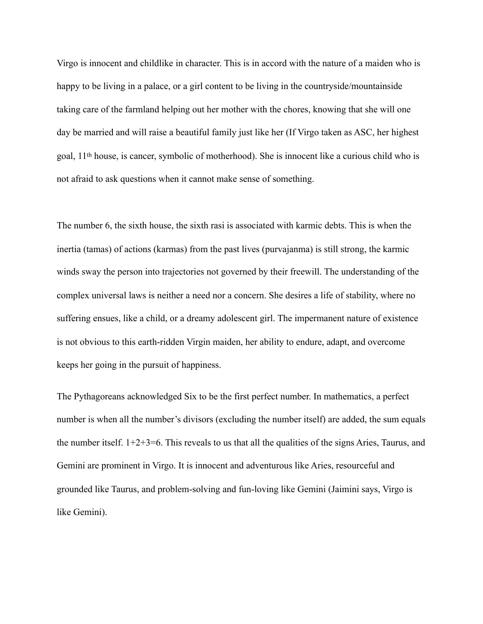Virgo is innocent and childlike in character. This is in accord with the nature of a maiden who is happy to be living in a palace, or a girl content to be living in the countryside/mountainside taking care of the farmland helping out her mother with the chores, knowing that she will one day be married and will raise a beautiful family just like her (If Virgo taken as ASC, her highest goal, 11th house, is cancer, symbolic of motherhood). She is innocent like a curious child who is not afraid to ask questions when it cannot make sense of something.

The number 6, the sixth house, the sixth rasi is associated with karmic debts. This is when the inertia (tamas) of actions (karmas) from the past lives (purvajanma) is still strong, the karmic winds sway the person into trajectories not governed by their freewill. The understanding of the complex universal laws is neither a need nor a concern. She desires a life of stability, where no suffering ensues, like a child, or a dreamy adolescent girl. The impermanent nature of existence is not obvious to this earth-ridden Virgin maiden, her ability to endure, adapt, and overcome keeps her going in the pursuit of happiness.

The Pythagoreans acknowledged Six to be the first perfect number. In mathematics, a perfect number is when all the number's divisors (excluding the number itself) are added, the sum equals the number itself.  $1+2+3=6$ . This reveals to us that all the qualities of the signs Aries, Taurus, and Gemini are prominent in Virgo. It is innocent and adventurous like Aries, resourceful and grounded like Taurus, and problem-solving and fun-loving like Gemini (Jaimini says, Virgo is like Gemini).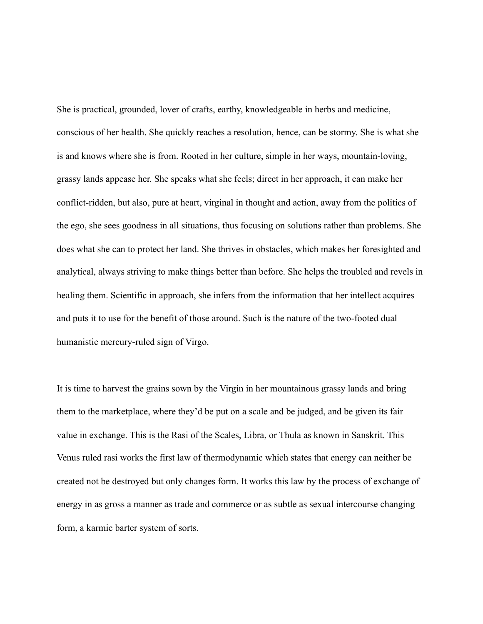She is practical, grounded, lover of crafts, earthy, knowledgeable in herbs and medicine, conscious of her health. She quickly reaches a resolution, hence, can be stormy. She is what she is and knows where she is from. Rooted in her culture, simple in her ways, mountain-loving, grassy lands appease her. She speaks what she feels; direct in her approach, it can make her conflict-ridden, but also, pure at heart, virginal in thought and action, away from the politics of the ego, she sees goodness in all situations, thus focusing on solutions rather than problems. She does what she can to protect her land. She thrives in obstacles, which makes her foresighted and analytical, always striving to make things better than before. She helps the troubled and revels in healing them. Scientific in approach, she infers from the information that her intellect acquires and puts it to use for the benefit of those around. Such is the nature of the two-footed dual humanistic mercury-ruled sign of Virgo.

It is time to harvest the grains sown by the Virgin in her mountainous grassy lands and bring them to the marketplace, where they'd be put on a scale and be judged, and be given its fair value in exchange. This is the Rasi of the Scales, Libra, or Thula as known in Sanskrit. This Venus ruled rasi works the first law of thermodynamic which states that energy can neither be created not be destroyed but only changes form. It works this law by the process of exchange of energy in as gross a manner as trade and commerce or as subtle as sexual intercourse changing form, a karmic barter system of sorts.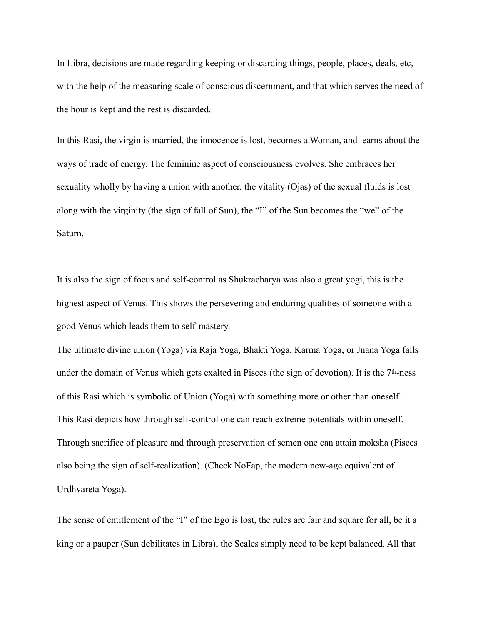In Libra, decisions are made regarding keeping or discarding things, people, places, deals, etc, with the help of the measuring scale of conscious discernment, and that which serves the need of the hour is kept and the rest is discarded.

In this Rasi, the virgin is married, the innocence is lost, becomes a Woman, and learns about the ways of trade of energy. The feminine aspect of consciousness evolves. She embraces her sexuality wholly by having a union with another, the vitality (Ojas) of the sexual fluids is lost along with the virginity (the sign of fall of Sun), the "I" of the Sun becomes the "we" of the Saturn.

It is also the sign of focus and self-control as Shukracharya was also a great yogi, this is the highest aspect of Venus. This shows the persevering and enduring qualities of someone with a good Venus which leads them to self-mastery.

The ultimate divine union (Yoga) via Raja Yoga, Bhakti Yoga, Karma Yoga, or Jnana Yoga falls under the domain of Venus which gets exalted in Pisces (the sign of devotion). It is the 7<sup>th</sup>-ness of this Rasi which is symbolic of Union (Yoga) with something more or other than oneself. This Rasi depicts how through self-control one can reach extreme potentials within oneself. Through sacrifice of pleasure and through preservation of semen one can attain moksha (Pisces also being the sign of self-realization). (Check NoFap, the modern new-age equivalent of Urdhvareta Yoga).

The sense of entitlement of the "I" of the Ego is lost, the rules are fair and square for all, be it a king or a pauper (Sun debilitates in Libra), the Scales simply need to be kept balanced. All that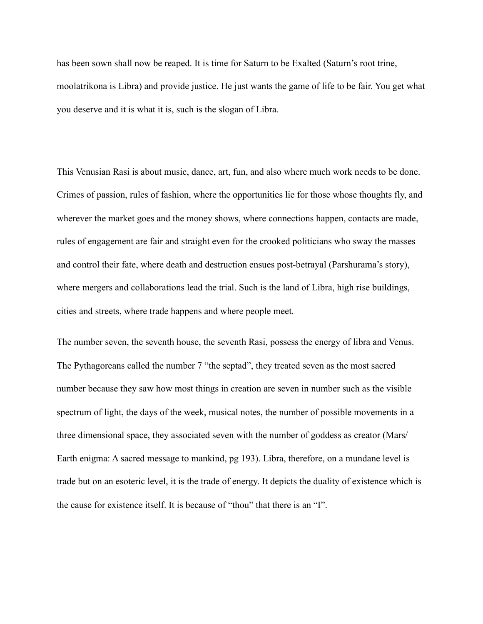has been sown shall now be reaped. It is time for Saturn to be Exalted (Saturn's root trine, moolatrikona is Libra) and provide justice. He just wants the game of life to be fair. You get what you deserve and it is what it is, such is the slogan of Libra.

This Venusian Rasi is about music, dance, art, fun, and also where much work needs to be done. Crimes of passion, rules of fashion, where the opportunities lie for those whose thoughts fly, and wherever the market goes and the money shows, where connections happen, contacts are made, rules of engagement are fair and straight even for the crooked politicians who sway the masses and control their fate, where death and destruction ensues post-betrayal (Parshurama's story), where mergers and collaborations lead the trial. Such is the land of Libra, high rise buildings, cities and streets, where trade happens and where people meet.

The number seven, the seventh house, the seventh Rasi, possess the energy of libra and Venus. The Pythagoreans called the number 7 "the septad", they treated seven as the most sacred number because they saw how most things in creation are seven in number such as the visible spectrum of light, the days of the week, musical notes, the number of possible movements in a three dimensional space, they associated seven with the number of goddess as creator (Mars/ Earth enigma: A sacred message to mankind, pg 193). Libra, therefore, on a mundane level is trade but on an esoteric level, it is the trade of energy. It depicts the duality of existence which is the cause for existence itself. It is because of "thou" that there is an "I".